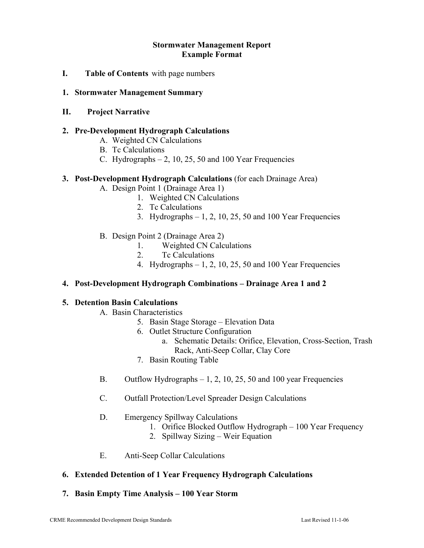## **Stormwater Management Report Example Format**

**I. Table of Contents** with page numbers

## **1. Stormwater Management Summary**

## **II. Project Narrative**

## **2. Pre-Development Hydrograph Calculations**

- A. Weighted CN Calculations
- B. Tc Calculations
- C. Hydrographs  $-2$ , 10, 25, 50 and 100 Year Frequencies

#### **3. Post-Development Hydrograph Calculations** (for each Drainage Area)

- A. Design Point 1 (Drainage Area 1)
	- 1. Weighted CN Calculations
	- 2. Tc Calculations
	- 3. Hydrographs  $-1$ , 2, 10, 25, 50 and 100 Year Frequencies
- B. Design Point 2 (Drainage Area 2)
	- 1. Weighted CN Calculations
	- 2. Tc Calculations
	- 4. Hydrographs  $-1$ , 2, 10, 25, 50 and 100 Year Frequencies

#### **4. Post-Development Hydrograph Combinations – Drainage Area 1 and 2**

#### **5. Detention Basin Calculations**

- A. Basin Characteristics
	- 5. Basin Stage Storage Elevation Data
	- 6. Outlet Structure Configuration
		- a. Schematic Details: Orifice, Elevation, Cross-Section, Trash Rack, Anti-Seep Collar, Clay Core
	- 7. Basin Routing Table
- B. Outflow Hydrographs 1, 2, 10, 25, 50 and 100 year Frequencies
- C. Outfall Protection/Level Spreader Design Calculations
- D. Emergency Spillway Calculations
	- 1. Orifice Blocked Outflow Hydrograph 100 Year Frequency
	- 2. Spillway Sizing Weir Equation
- E. Anti-Seep Collar Calculations

# **6. Extended Detention of 1 Year Frequency Hydrograph Calculations**

#### **7. Basin Empty Time Analysis – 100 Year Storm**